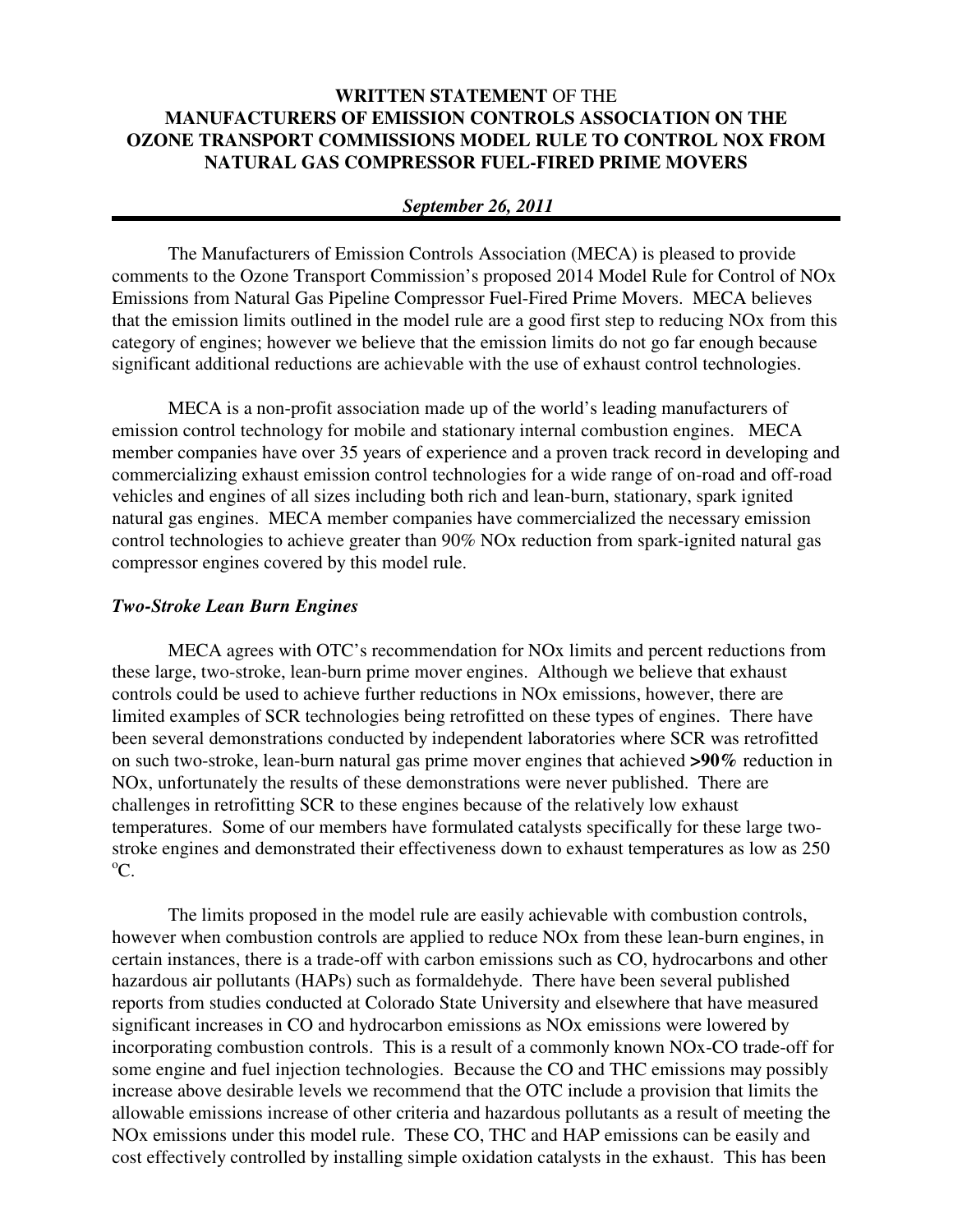# **WRITTEN STATEMENT** OF THE **MANUFACTURERS OF EMISSION CONTROLS ASSOCIATION ON THE OZONE TRANSPORT COMMISSIONS MODEL RULE TO CONTROL NOX FROM NATURAL GAS COMPRESSOR FUEL-FIRED PRIME MOVERS**

### *September 26, 2011*

The Manufacturers of Emission Controls Association (MECA) is pleased to provide comments to the Ozone Transport Commission's proposed 2014 Model Rule for Control of NOx Emissions from Natural Gas Pipeline Compressor Fuel-Fired Prime Movers. MECA believes that the emission limits outlined in the model rule are a good first step to reducing NOx from this category of engines; however we believe that the emission limits do not go far enough because significant additional reductions are achievable with the use of exhaust control technologies.

MECA is a non-profit association made up of the world's leading manufacturers of emission control technology for mobile and stationary internal combustion engines. MECA member companies have over 35 years of experience and a proven track record in developing and commercializing exhaust emission control technologies for a wide range of on-road and off-road vehicles and engines of all sizes including both rich and lean-burn, stationary, spark ignited natural gas engines. MECA member companies have commercialized the necessary emission control technologies to achieve greater than 90% NOx reduction from spark-ignited natural gas compressor engines covered by this model rule.

#### *Two-Stroke Lean Burn Engines*

MECA agrees with OTC's recommendation for NOx limits and percent reductions from these large, two-stroke, lean-burn prime mover engines. Although we believe that exhaust controls could be used to achieve further reductions in NOx emissions, however, there are limited examples of SCR technologies being retrofitted on these types of engines. There have been several demonstrations conducted by independent laboratories where SCR was retrofitted on such two-stroke, lean-burn natural gas prime mover engines that achieved **>90%** reduction in NOx, unfortunately the results of these demonstrations were never published. There are challenges in retrofitting SCR to these engines because of the relatively low exhaust temperatures. Some of our members have formulated catalysts specifically for these large twostroke engines and demonstrated their effectiveness down to exhaust temperatures as low as 250  $^{\circ}C$ .

The limits proposed in the model rule are easily achievable with combustion controls, however when combustion controls are applied to reduce NOx from these lean-burn engines, in certain instances, there is a trade-off with carbon emissions such as CO, hydrocarbons and other hazardous air pollutants (HAPs) such as formaldehyde. There have been several published reports from studies conducted at Colorado State University and elsewhere that have measured significant increases in CO and hydrocarbon emissions as NOx emissions were lowered by incorporating combustion controls. This is a result of a commonly known NOx-CO trade-off for some engine and fuel injection technologies. Because the CO and THC emissions may possibly increase above desirable levels we recommend that the OTC include a provision that limits the allowable emissions increase of other criteria and hazardous pollutants as a result of meeting the NOx emissions under this model rule. These CO, THC and HAP emissions can be easily and cost effectively controlled by installing simple oxidation catalysts in the exhaust. This has been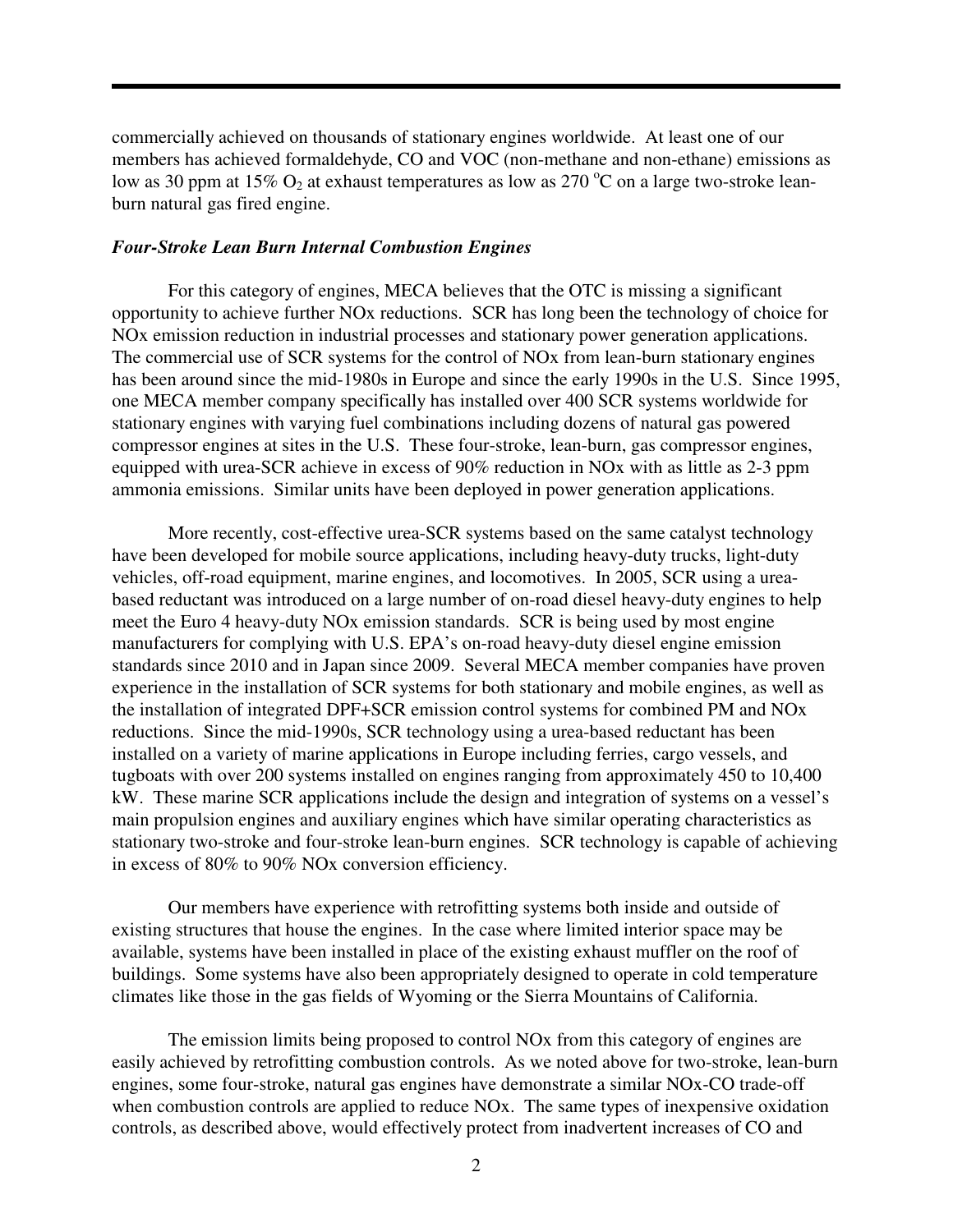commercially achieved on thousands of stationary engines worldwide. At least one of our members has achieved formaldehyde, CO and VOC (non-methane and non-ethane) emissions as low as 30 ppm at 15%  $O_2$  at exhaust temperatures as low as 270 °C on a large two-stroke leanburn natural gas fired engine.

### *Four-Stroke Lean Burn Internal Combustion Engines*

For this category of engines, MECA believes that the OTC is missing a significant opportunity to achieve further NOx reductions. SCR has long been the technology of choice for NOx emission reduction in industrial processes and stationary power generation applications. The commercial use of SCR systems for the control of NOx from lean-burn stationary engines has been around since the mid-1980s in Europe and since the early 1990s in the U.S. Since 1995, one MECA member company specifically has installed over 400 SCR systems worldwide for stationary engines with varying fuel combinations including dozens of natural gas powered compressor engines at sites in the U.S. These four-stroke, lean-burn, gas compressor engines, equipped with urea-SCR achieve in excess of 90% reduction in NOx with as little as 2-3 ppm ammonia emissions. Similar units have been deployed in power generation applications.

More recently, cost-effective urea-SCR systems based on the same catalyst technology have been developed for mobile source applications, including heavy-duty trucks, light-duty vehicles, off-road equipment, marine engines, and locomotives. In 2005, SCR using a ureabased reductant was introduced on a large number of on-road diesel heavy-duty engines to help meet the Euro 4 heavy-duty NOx emission standards. SCR is being used by most engine manufacturers for complying with U.S. EPA's on-road heavy-duty diesel engine emission standards since 2010 and in Japan since 2009. Several MECA member companies have proven experience in the installation of SCR systems for both stationary and mobile engines, as well as the installation of integrated DPF+SCR emission control systems for combined PM and NOx reductions. Since the mid-1990s, SCR technology using a urea-based reductant has been installed on a variety of marine applications in Europe including ferries, cargo vessels, and tugboats with over 200 systems installed on engines ranging from approximately 450 to 10,400 kW. These marine SCR applications include the design and integration of systems on a vessel's main propulsion engines and auxiliary engines which have similar operating characteristics as stationary two-stroke and four-stroke lean-burn engines. SCR technology is capable of achieving in excess of 80% to 90% NOx conversion efficiency.

Our members have experience with retrofitting systems both inside and outside of existing structures that house the engines. In the case where limited interior space may be available, systems have been installed in place of the existing exhaust muffler on the roof of buildings. Some systems have also been appropriately designed to operate in cold temperature climates like those in the gas fields of Wyoming or the Sierra Mountains of California.

 The emission limits being proposed to control NOx from this category of engines are easily achieved by retrofitting combustion controls. As we noted above for two-stroke, lean-burn engines, some four-stroke, natural gas engines have demonstrate a similar NOx-CO trade-off when combustion controls are applied to reduce NOx. The same types of inexpensive oxidation controls, as described above, would effectively protect from inadvertent increases of CO and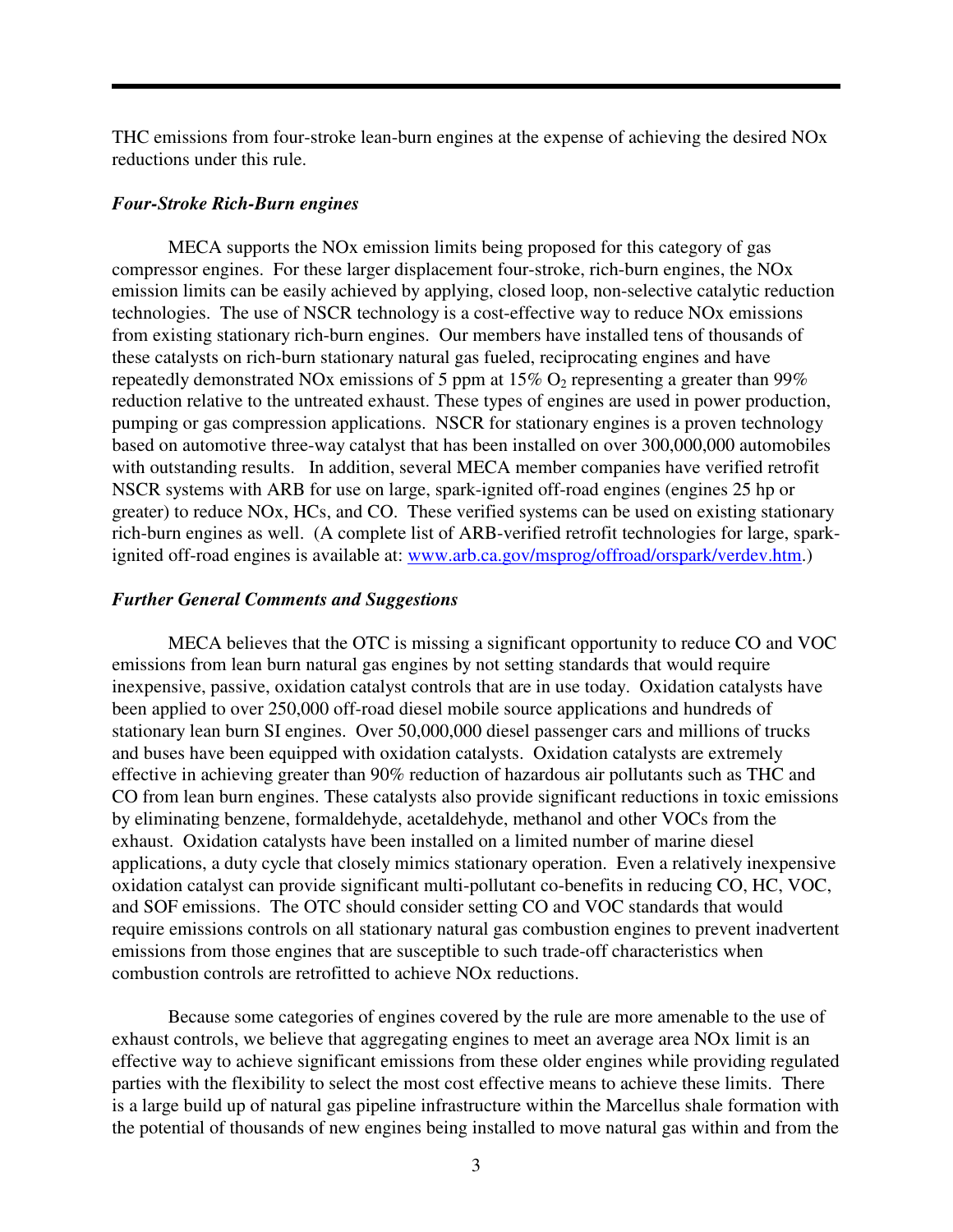THC emissions from four-stroke lean-burn engines at the expense of achieving the desired NOx reductions under this rule.

### *Four-Stroke Rich-Burn engines*

MECA supports the NOx emission limits being proposed for this category of gas compressor engines. For these larger displacement four-stroke, rich-burn engines, the NOx emission limits can be easily achieved by applying, closed loop, non-selective catalytic reduction technologies. The use of NSCR technology is a cost-effective way to reduce NOx emissions from existing stationary rich-burn engines. Our members have installed tens of thousands of these catalysts on rich-burn stationary natural gas fueled, reciprocating engines and have repeatedly demonstrated NOx emissions of 5 ppm at 15%  $O_2$  representing a greater than 99% reduction relative to the untreated exhaust. These types of engines are used in power production, pumping or gas compression applications. NSCR for stationary engines is a proven technology based on automotive three-way catalyst that has been installed on over 300,000,000 automobiles with outstanding results. In addition, several MECA member companies have verified retrofit NSCR systems with ARB for use on large, spark-ignited off-road engines (engines 25 hp or greater) to reduce NOx, HCs, and CO. These verified systems can be used on existing stationary rich-burn engines as well. (A complete list of ARB-verified retrofit technologies for large, sparkignited off-road engines is available at: www.arb.ca.gov/msprog/offroad/orspark/verdev.htm.)

### *Further General Comments and Suggestions*

MECA believes that the OTC is missing a significant opportunity to reduce CO and VOC emissions from lean burn natural gas engines by not setting standards that would require inexpensive, passive, oxidation catalyst controls that are in use today. Oxidation catalysts have been applied to over 250,000 off-road diesel mobile source applications and hundreds of stationary lean burn SI engines. Over 50,000,000 diesel passenger cars and millions of trucks and buses have been equipped with oxidation catalysts. Oxidation catalysts are extremely effective in achieving greater than 90% reduction of hazardous air pollutants such as THC and CO from lean burn engines. These catalysts also provide significant reductions in toxic emissions by eliminating benzene, formaldehyde, acetaldehyde, methanol and other VOCs from the exhaust. Oxidation catalysts have been installed on a limited number of marine diesel applications, a duty cycle that closely mimics stationary operation. Even a relatively inexpensive oxidation catalyst can provide significant multi-pollutant co-benefits in reducing CO, HC, VOC, and SOF emissions. The OTC should consider setting CO and VOC standards that would require emissions controls on all stationary natural gas combustion engines to prevent inadvertent emissions from those engines that are susceptible to such trade-off characteristics when combustion controls are retrofitted to achieve NOx reductions.

Because some categories of engines covered by the rule are more amenable to the use of exhaust controls, we believe that aggregating engines to meet an average area NOx limit is an effective way to achieve significant emissions from these older engines while providing regulated parties with the flexibility to select the most cost effective means to achieve these limits. There is a large build up of natural gas pipeline infrastructure within the Marcellus shale formation with the potential of thousands of new engines being installed to move natural gas within and from the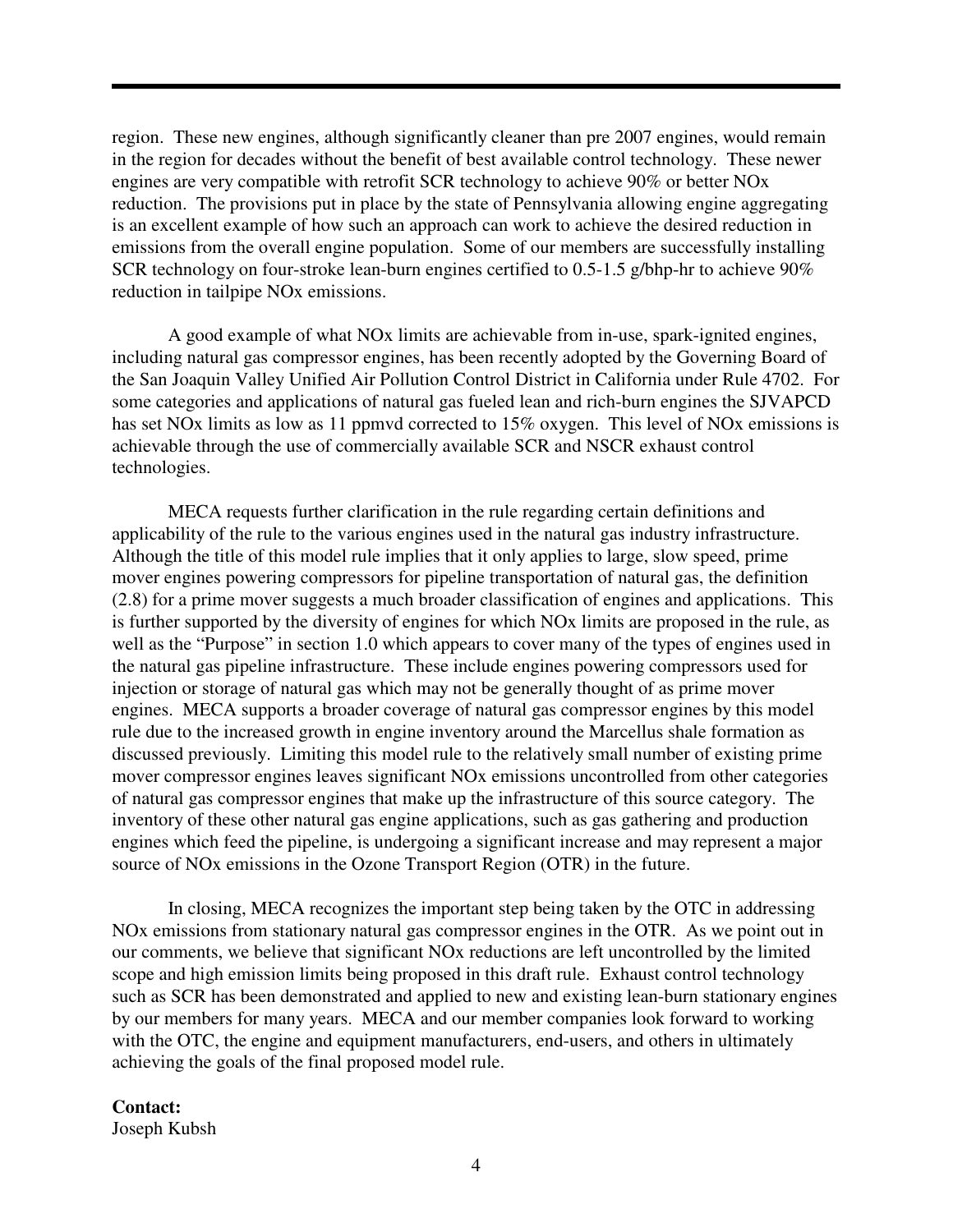region. These new engines, although significantly cleaner than pre 2007 engines, would remain in the region for decades without the benefit of best available control technology. These newer engines are very compatible with retrofit SCR technology to achieve 90% or better NOx reduction. The provisions put in place by the state of Pennsylvania allowing engine aggregating is an excellent example of how such an approach can work to achieve the desired reduction in emissions from the overall engine population. Some of our members are successfully installing SCR technology on four-stroke lean-burn engines certified to 0.5-1.5 g/bhp-hr to achieve 90% reduction in tailpipe NOx emissions.

A good example of what NOx limits are achievable from in-use, spark-ignited engines, including natural gas compressor engines, has been recently adopted by the Governing Board of the San Joaquin Valley Unified Air Pollution Control District in California under Rule 4702. For some categories and applications of natural gas fueled lean and rich-burn engines the SJVAPCD has set NOx limits as low as 11 ppmvd corrected to 15% oxygen. This level of NOx emissions is achievable through the use of commercially available SCR and NSCR exhaust control technologies.

MECA requests further clarification in the rule regarding certain definitions and applicability of the rule to the various engines used in the natural gas industry infrastructure. Although the title of this model rule implies that it only applies to large, slow speed, prime mover engines powering compressors for pipeline transportation of natural gas, the definition (2.8) for a prime mover suggests a much broader classification of engines and applications. This is further supported by the diversity of engines for which NOx limits are proposed in the rule, as well as the "Purpose" in section 1.0 which appears to cover many of the types of engines used in the natural gas pipeline infrastructure. These include engines powering compressors used for injection or storage of natural gas which may not be generally thought of as prime mover engines. MECA supports a broader coverage of natural gas compressor engines by this model rule due to the increased growth in engine inventory around the Marcellus shale formation as discussed previously. Limiting this model rule to the relatively small number of existing prime mover compressor engines leaves significant NOx emissions uncontrolled from other categories of natural gas compressor engines that make up the infrastructure of this source category. The inventory of these other natural gas engine applications, such as gas gathering and production engines which feed the pipeline, is undergoing a significant increase and may represent a major source of NOx emissions in the Ozone Transport Region (OTR) in the future.

In closing, MECA recognizes the important step being taken by the OTC in addressing NOx emissions from stationary natural gas compressor engines in the OTR. As we point out in our comments, we believe that significant NOx reductions are left uncontrolled by the limited scope and high emission limits being proposed in this draft rule. Exhaust control technology such as SCR has been demonstrated and applied to new and existing lean-burn stationary engines by our members for many years. MECA and our member companies look forward to working with the OTC, the engine and equipment manufacturers, end-users, and others in ultimately achieving the goals of the final proposed model rule.

## **Contact:**

Joseph Kubsh